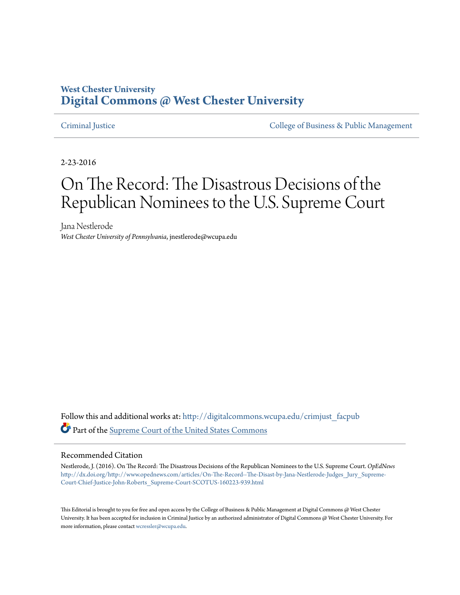# **West Chester University [Digital Commons @ West Chester University](http://digitalcommons.wcupa.edu?utm_source=digitalcommons.wcupa.edu%2Fcrimjust_facpub%2F6&utm_medium=PDF&utm_campaign=PDFCoverPages)**

[Criminal Justice](http://digitalcommons.wcupa.edu/crimjust_facpub?utm_source=digitalcommons.wcupa.edu%2Fcrimjust_facpub%2F6&utm_medium=PDF&utm_campaign=PDFCoverPages) [College of Business & Public Management](http://digitalcommons.wcupa.edu/cbpa?utm_source=digitalcommons.wcupa.edu%2Fcrimjust_facpub%2F6&utm_medium=PDF&utm_campaign=PDFCoverPages)

2-23-2016

# On The Record: The Disastrous Decisions of the Republican Nominees to the U.S. Supreme Court

Jana Nestlerode *West Chester University of Pennsylvania*, jnestlerode@wcupa.edu

Follow this and additional works at: [http://digitalcommons.wcupa.edu/crimjust\\_facpub](http://digitalcommons.wcupa.edu/crimjust_facpub?utm_source=digitalcommons.wcupa.edu%2Fcrimjust_facpub%2F6&utm_medium=PDF&utm_campaign=PDFCoverPages) Part of the [Supreme Court of the United States Commons](http://network.bepress.com/hgg/discipline/1350?utm_source=digitalcommons.wcupa.edu%2Fcrimjust_facpub%2F6&utm_medium=PDF&utm_campaign=PDFCoverPages)

#### Recommended Citation

Nestlerode, J. (2016). On The Record: The Disastrous Decisions of the Republican Nominees to the U.S. Supreme Court. *OpEdNews* [http://dx.doi.org/http://www.opednews.com/articles/On-The-Record--The-Disast-by-Jana-Nestlerode-Judges\\_Jury\\_Supreme-](http://dx.doi.org/http://www.opednews.com/articles/On-The-Record--The-Disast-by-Jana-Nestlerode-Judges_Jury_Supreme-Court-Chief-Justice-John-Roberts_Supreme-Court-SCOTUS-160223-939.html)[Court-Chief-Justice-John-Roberts\\_Supreme-Court-SCOTUS-160223-939.html](http://dx.doi.org/http://www.opednews.com/articles/On-The-Record--The-Disast-by-Jana-Nestlerode-Judges_Jury_Supreme-Court-Chief-Justice-John-Roberts_Supreme-Court-SCOTUS-160223-939.html)

This Editorial is brought to you for free and open access by the College of Business & Public Management at Digital Commons @ West Chester University. It has been accepted for inclusion in Criminal Justice by an authorized administrator of Digital Commons @ West Chester University. For more information, please contact [wcressler@wcupa.edu](mailto:wcressler@wcupa.edu).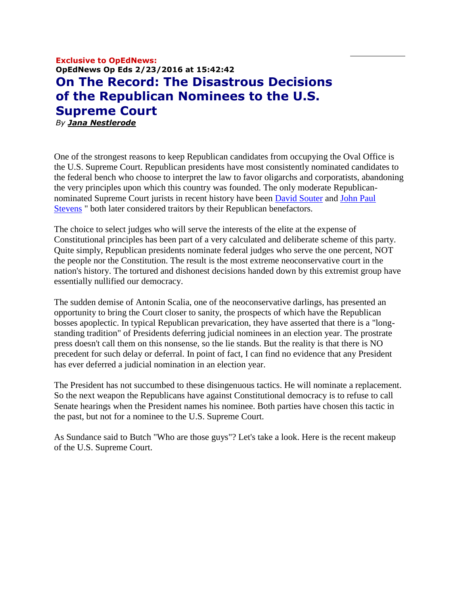# **Exclusive to OpEdNews: OpEdNews Op Eds 2/23/2016 at 15:42:42 On The Record: The Disastrous Decisions of the Republican Nominees to the U.S. Supreme Court** *By [Jana Nestlerode](http://www.opednews.com/author/author13945.html)*

One of the strongest reasons to keep Republican candidates from occupying the Oval Office is the U.S. Supreme Court. Republican presidents have most consistently nominated candidates to the federal bench who choose to interpret the law to favor oligarchs and corporatists, abandoning the very principles upon which this country was founded. The only moderate Republicannominated Supreme Court jurists in recent history have been [David Souter](https://www.oyez.org/justices/david_h_souter) and [John Paul](https://www.oyez.org/justices/john_paul_stevens)  [Stevens](https://www.oyez.org/justices/john_paul_stevens) " both later considered traitors by their Republican benefactors.

The choice to select judges who will serve the interests of the elite at the expense of Constitutional principles has been part of a very calculated and deliberate scheme of this party. Quite simply, Republican presidents nominate federal judges who serve the one percent, NOT the people nor the Constitution. The result is the most extreme neoconservative court in the nation's history. The tortured and dishonest decisions handed down by this extremist group have essentially nullified our democracy.

The sudden demise of Antonin Scalia, one of the neoconservative darlings, has presented an opportunity to bring the Court closer to sanity, the prospects of which have the Republican bosses apoplectic. In typical Republican prevarication, they have asserted that there is a "longstanding tradition" of Presidents deferring judicial nominees in an election year. The prostrate press doesn't call them on this nonsense, so the lie stands. But the reality is that there is NO precedent for such delay or deferral. In point of fact, I can find no evidence that any President has ever deferred a judicial nomination in an election year.

The President has not succumbed to these disingenuous tactics. He will nominate a replacement. So the next weapon the Republicans have against Constitutional democracy is to refuse to call Senate hearings when the President names his nominee. Both parties have chosen this tactic in the past, but not for a nominee to the U.S. Supreme Court.

As Sundance said to Butch "Who are those guys"? Let's take a look. Here is the recent makeup of the U.S. Supreme Court.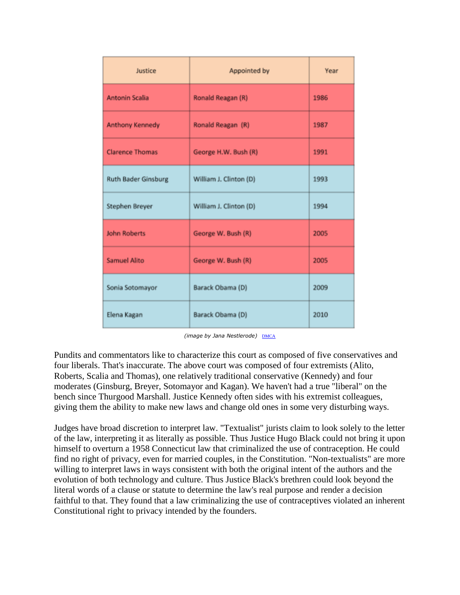| Justice                    | Appointed by           | Year |
|----------------------------|------------------------|------|
| <b>Antonin Scalia</b>      | Ronald Reagan (R)      | 1986 |
| <b>Anthony Kennedy</b>     | Ronald Reagan (R)      | 1987 |
| <b>Clarence Thomas</b>     | George H.W. Bush (R)   | 1991 |
| <b>Ruth Bader Ginsburg</b> | William J. Clinton (D) | 1993 |
| Stephen Breyer             | William J. Clinton (D) | 1994 |
| <b>John Roberts</b>        | George W. Bush (R)     | 2005 |
| <b>Samuel Alito</b>        | George W. Bush (R)     | 2005 |
| Sonia Sotomayor            | Barack Obama (D)       | 2009 |
| Elena Kagan                | Barack Obama (D)       | 2010 |

*(image by Jana Nestlerode)* [DMCA](http://www.opednews.com/populum/dmca.php)

Pundits and commentators like to characterize this court as composed of five conservatives and four liberals. That's inaccurate. The above court was composed of four extremists (Alito, Roberts, Scalia and Thomas), one relatively traditional conservative (Kennedy) and four moderates (Ginsburg, Breyer, Sotomayor and Kagan). We haven't had a true "liberal" on the bench since Thurgood Marshall. Justice Kennedy often sides with his extremist colleagues, giving them the ability to make new laws and change old ones in some very disturbing ways.

Judges have broad discretion to interpret law. "Textualist" jurists claim to look solely to the letter of the law, interpreting it as literally as possible. Thus Justice Hugo Black could not bring it upon himself to overturn a 1958 Connecticut law that criminalized the use of contraception. He could find no right of privacy, even for married couples, in the Constitution. "Non-textualists" are more willing to interpret laws in ways consistent with both the original intent of the authors and the evolution of both technology and culture. Thus Justice Black's brethren could look beyond the literal words of a clause or statute to determine the law's real purpose and render a decision faithful to that. They found that a law criminalizing the use of contraceptives violated an inherent Constitutional right to privacy intended by the founders.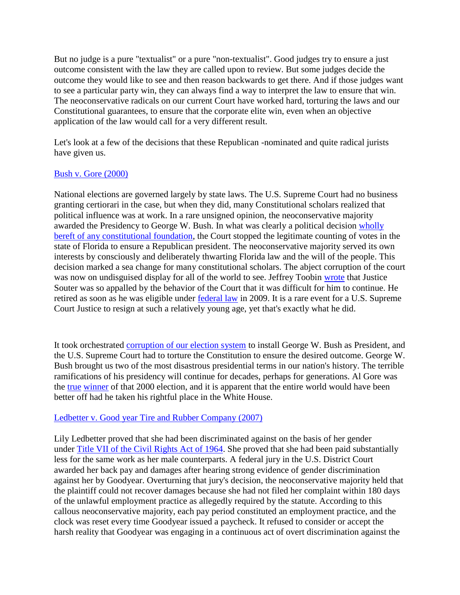But no judge is a pure "textualist" or a pure "non-textualist". Good judges try to ensure a just outcome consistent with the law they are called upon to review. But some judges decide the outcome they would like to see and then reason backwards to get there. And if those judges want to see a particular party win, they can always find a way to interpret the law to ensure that win. The neoconservative radicals on our current Court have worked hard, torturing the laws and our Constitutional guarantees, to ensure that the corporate elite win, even when an objective application of the law would call for a very different result.

Let's look at a few of the decisions that these Republican -nominated and quite radical jurists have given us.

# [Bush v. Gore \(2000\)](http://caselaw.findlaw.com/us-supreme-court/531/98.html)

National elections are governed largely by state laws. The U.S. Supreme Court had no business granting certiorari in the case, but when they did, many Constitutional scholars realized that political influence was at work. In a rare unsigned opinion, the neoconservative majority awarded the Presidency to George W. Bush. In what was clearly a political decision [wholly](http://www.amazon.com/The-Betrayal-America-Undermined-Constitution/dp/156025355X)  [bereft of any constitutional foundation,](http://www.amazon.com/The-Betrayal-America-Undermined-Constitution/dp/156025355X) the Court stopped the legitimate counting of votes in the state of Florida to ensure a Republican president. The neoconservative majority served its own interests by consciously and deliberately thwarting Florida law and the will of the people. This decision marked a sea change for many constitutional scholars. The abject corruption of the court was now on undisguised display for all of the world to see. Jeffrey Toobin [wrote](http://www.amazon.com/The-Nine-Inside-Secret-Supreme/dp/1400096790) that Justice Souter was so appalled by the behavior of the Court that it was difficult for him to continue. He retired as soon as he was eligible under [federal law](https://www.law.cornell.edu/uscode/text/28/371) in 2009. It is a rare event for a U.S. Supreme Court Justice to resign at such a relatively young age, yet that's exactly what he did.

It took orchestrated [corruption of our election system](http://www.amazon.com/s/ref=nb_sb_noss?url=search-alias=aps&field-keywords=was+the+2000+presidential+electionn+stolen) to install George W. Bush as President, and the U.S. Supreme Court had to torture the Constitution to ensure the desired outcome. George W. Bush brought us two of the most disastrous presidential terms in our nation's history. The terrible ramifications of his presidency will continue for decades, perhaps for generations. Al Gore was the [true](http://nymag.com/daily/intelligencer/2012/06/yes-bush-v-gore-did-steal-the-election.html) [winner](http://www.theguardian.com/world/2001/jan/29/uselections2000.usa) of that 2000 election, and it is apparent that the entire world would have been better off had he taken his rightful place in the White House.

# [Ledbetter v. Good year Tire and Rubber Company \(2007\)](http://caselaw.findlaw.com/us-supreme-court/550/618.html)

Lily Ledbetter proved that she had been discriminated against on the basis of her gender under [Title VII of the Civil Rights Act of 1964.](http://www.eeoc.gov/laws/statutes/titlevii.cfm) She proved that she had been paid substantially less for the same work as her male counterparts. A federal jury in the U.S. District Court awarded her back pay and damages after hearing strong evidence of gender discrimination against her by Goodyear. Overturning that jury's decision, the neoconservative majority held that the plaintiff could not recover damages because she had not filed her complaint within 180 days of the unlawful employment practice as allegedly required by the statute. According to this callous neoconservative majority, each pay period constituted an employment practice, and the clock was reset every time Goodyear issued a paycheck. It refused to consider or accept the harsh reality that Goodyear was engaging in a continuous act of overt discrimination against the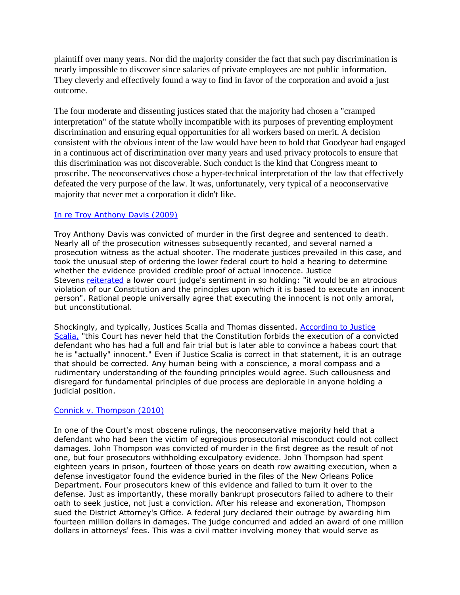plaintiff over many years. Nor did the majority consider the fact that such pay discrimination is nearly impossible to discover since salaries of private employees are not public information. They cleverly and effectively found a way to find in favor of the corporation and avoid a just outcome.

The four moderate and dissenting justices stated that the majority had chosen a "cramped interpretation" of the statute wholly incompatible with its purposes of preventing employment discrimination and ensuring equal opportunities for all workers based on merit. A decision consistent with the obvious intent of the law would have been to hold that Goodyear had engaged in a continuous act of discrimination over many years and used privacy protocols to ensure that this discrimination was not discoverable. Such conduct is the kind that Congress meant to proscribe. The neoconservatives chose a hyper-technical interpretation of the law that effectively defeated the very purpose of the law. It was, unfortunately, very typical of a neoconservative majority that never met a corporation it didn't like.

## [In re Troy Anthony Davis \(2009\)](http://www.scotusblog.com/wp-content/uploads/2009/08/court-order-Davis.pdf)

Troy Anthony Davis was convicted of murder in the first degree and sentenced to death. Nearly all of the prosecution witnesses subsequently recanted, and several named a prosecution witness as the actual shooter. The moderate justices prevailed in this case, and took the unusual step of ordering the lower federal court to hold a hearing to determine whether the evidence provided credible proof of actual innocence. Justice Stevens [reiterated](http://www.supremecourt.gov/opinions/08pdf/08-1443Stevens.pdf) a lower court judge's sentiment in so holding: "it would be an atrocious violation of our Constitution and the principles upon which it is based to execute an innocent person". Rational people universally agree that executing the innocent is not only amoral, but unconstitutional.

Shockingly, and typically, Justices Scalia and Thomas dissented. [According to Justice](http://caselaw.findlaw.com/us-supreme-court/08-1443.html)  [Scalia,](http://caselaw.findlaw.com/us-supreme-court/08-1443.html) "this Court has never held that the Constitution forbids the execution of a convicted defendant who has had a full and fair trial but is later able to convince a habeas court that he is "actually" innocent." Even if Justice Scalia is correct in that statement, it is an outrage that should be corrected. Any human being with a conscience, a moral compass and a rudimentary understanding of the founding principles would agree. Such callousness and disregard for fundamental principles of due process are deplorable in anyone holding a judicial position.

# [Connick v. Thompson \(2010\)](http://caselaw.findlaw.com/us-supreme-court/09-571.html)

In one of the Court's most obscene rulings, the neoconservative majority held that a defendant who had been the victim of egregious prosecutorial misconduct could not collect damages. John Thompson was convicted of murder in the first degree as the result of not one, but four prosecutors withholding exculpatory evidence. John Thompson had spent eighteen years in prison, fourteen of those years on death row awaiting execution, when a defense investigator found the evidence buried in the files of the New Orleans Police Department. Four prosecutors knew of this evidence and failed to turn it over to the defense. Just as importantly, these morally bankrupt prosecutors failed to adhere to their oath to seek justice, not just a conviction. After his release and exoneration, Thompson sued the District Attorney's Office. A federal jury declared their outrage by awarding him fourteen million dollars in damages. The judge concurred and added an award of one million dollars in attorneys' fees. This was a civil matter involving money that would serve as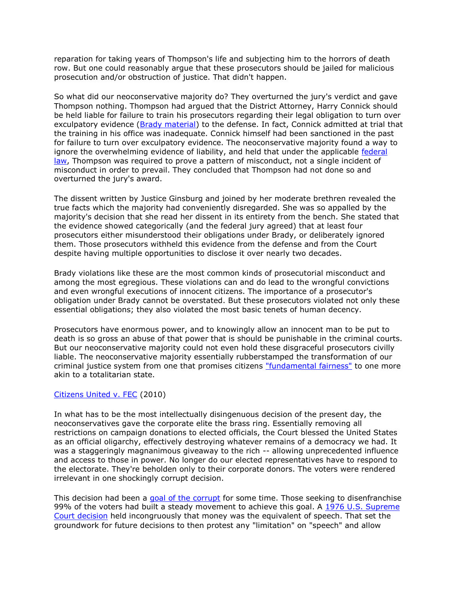reparation for taking years of Thompson's life and subjecting him to the horrors of death row. But one could reasonably argue that these prosecutors should be jailed for malicious prosecution and/or obstruction of justice. That didn't happen.

So what did our neoconservative majority do? They overturned the jury's verdict and gave Thompson nothing. Thompson had argued that the District Attorney, Harry Connick should be held liable for failure to train his prosecutors regarding their legal obligation to turn over exculpatory evidence [\(Brady material\)](http://caselaw.findlaw.com/us-supreme-court/373/83.html) to the defense. In fact, Connick admitted at trial that the training in his office was inadequate. Connick himself had been sanctioned in the past for failure to turn over exculpatory evidence. The neoconservative majority found a way to ignore the overwhelming evidence of liability, and held that under the applicable [federal](https://www.gpo.gov/fdsys/pkg/USCODE-2009-title42/pdf/USCODE-2009-title42-chap21-subchapI-sec1983.pdf)  [law,](https://www.gpo.gov/fdsys/pkg/USCODE-2009-title42/pdf/USCODE-2009-title42-chap21-subchapI-sec1983.pdf) Thompson was required to prove a pattern of misconduct, not a single incident of misconduct in order to prevail. They concluded that Thompson had not done so and overturned the jury's award.

The dissent written by Justice Ginsburg and joined by her moderate brethren revealed the true facts which the majority had conveniently disregarded. She was so appalled by the majority's decision that she read her dissent in its entirety from the bench. She stated that the evidence showed categorically (and the federal jury agreed) that at least four prosecutors either misunderstood their obligations under Brady, or deliberately ignored them. Those prosecutors withheld this evidence from the defense and from the Court despite having multiple opportunities to disclose it over nearly two decades.

Brady violations like these are the most common kinds of prosecutorial misconduct and among the most egregious. These violations can and do lead to the wrongful convictions and even wrongful executions of innocent citizens. The importance of a prosecutor's obligation under Brady cannot be overstated. But these prosecutors violated not only these essential obligations; they also violated the most basic tenets of human decency.

Prosecutors have enormous power, and to knowingly allow an innocent man to be put to death is so gross an abuse of that power that is should be punishable in the criminal courts. But our neoconservative majority could not even hold these disgraceful prosecutors civilly liable. The neoconservative majority essentially rubberstamped the transformation of our criminal justice system from one that promises citizens ["fundamental fairness"](https://www.law.cornell.edu/constitution/fifth_amendment) to one more akin to a totalitarian state.

### [Citizens United v. FEC](http://caselaw.findlaw.com/us-supreme-court/08-205.html) (2010)

In what has to be the most intellectually disingenuous decision of the present day, the neoconservatives gave the corporate elite the brass ring. Essentially removing all restrictions on campaign donations to elected officials, the Court blessed the United States as an official oligarchy, effectively destroying whatever remains of a democracy we had. It was a staggeringly magnanimous giveaway to the rich -- allowing unprecedented influence and access to those in power. No longer do our elected representatives have to respond to the electorate. They're beholden only to their corporate donors. The voters were rendered irrelevant in one shockingly corrupt decision.

This decision had been a [goal of the corrupt](http://www.amazon.com/Dark-Money-History-Billionaires-Radical/dp/0385535597) for some time. Those seeking to disenfranchise 99% of the voters had built a steady movement to achieve this goal. A 1976 U.S. Supreme [Court decision](http://caselaw.findlaw.com/us-supreme-court/424/1.html) held incongruously that money was the equivalent of speech. That set the groundwork for future decisions to then protest any "limitation" on "speech" and allow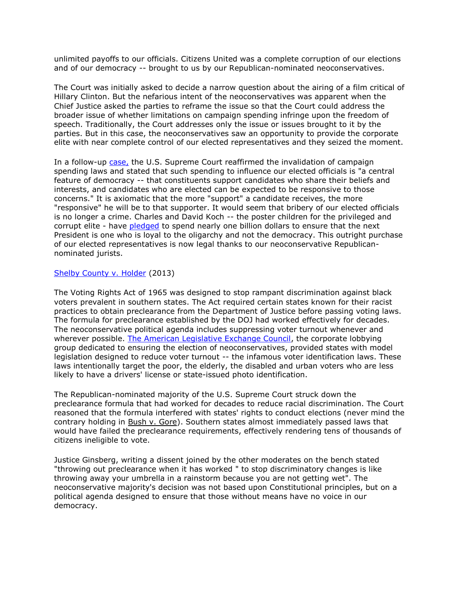unlimited payoffs to our officials. Citizens United was a complete corruption of our elections and of our democracy -- brought to us by our Republican-nominated neoconservatives.

The Court was initially asked to decide a narrow question about the airing of a film critical of Hillary Clinton. But the nefarious intent of the neoconservatives was apparent when the Chief Justice asked the parties to reframe the issue so that the Court could address the broader issue of whether limitations on campaign spending infringe upon the freedom of speech. Traditionally, the Court addresses only the issue or issues brought to it by the parties. But in this case, the neoconservatives saw an opportunity to provide the corporate elite with near complete control of our elected representatives and they seized the moment.

In a follow-up [case,](http://caselaw.findlaw.com/us-supreme-court/12-536.html) the U.S. Supreme Court reaffirmed the invalidation of campaign spending laws and stated that such spending to influence our elected officials is "a central feature of democracy -- that constituents support candidates who share their beliefs and interests, and candidates who are elected can be expected to be responsive to those concerns." It is axiomatic that the more "support" a candidate receives, the more "responsive" he will be to that supporter. It would seem that bribery of our elected officials is no longer a crime. Charles and David Koch -- the poster children for the privileged and corrupt elite - have [pledged](https://www.washingtonpost.com/politics/koch-backed-network-aims-to-spend-nearly-1-billion-on-2016-elections/2015/01/26/77a44654-a513-11e4-a06b-9df2002b86a0_story.html) to spend nearly one billion dollars to ensure that the next President is one who is loyal to the oligarchy and not the democracy. This outright purchase of our elected representatives is now legal thanks to our neoconservative Republicannominated jurists.

#### [Shelby County v. Holder](http://caselaw.findlaw.com/us-supreme-court/12-96.html) (2013)

The Voting Rights Act of 1965 was designed to stop rampant discrimination against black voters prevalent in southern states. The Act required certain states known for their racist practices to obtain preclearance from the Department of Justice before passing voting laws. The formula for preclearance established by the DOJ had worked effectively for decades. The neoconservative political agenda includes suppressing voter turnout whenever and wherever possible. [The American Legislative Exchange Council,](https://www.alec.org/) the corporate lobbying group dedicated to ensuring the election of neoconservatives, provided states with model legislation designed to reduce voter turnout -- the infamous voter identification laws. These laws intentionally target the poor, the elderly, the disabled and urban voters who are less likely to have a drivers' license or state-issued photo identification.

The Republican-nominated majority of the U.S. Supreme Court struck down the preclearance formula that had worked for decades to reduce racial discrimination. The Court reasoned that the formula interfered with states' rights to conduct elections (never mind the contrary holding in Bush v. Gore). Southern states almost immediately passed laws that would have failed the preclearance requirements, effectively rendering tens of thousands of citizens ineligible to vote.

Justice Ginsberg, writing a dissent joined by the other moderates on the bench stated "throwing out preclearance when it has worked " to stop discriminatory changes is like throwing away your umbrella in a rainstorm because you are not getting wet". The neoconservative majority's decision was not based upon Constitutional principles, but on a political agenda designed to ensure that those without means have no voice in our democracy.